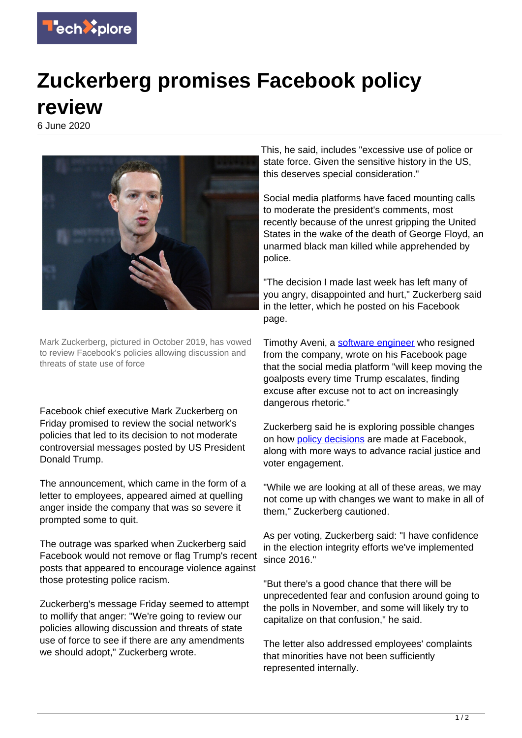

## **Zuckerberg promises Facebook policy review**

6 June 2020



Mark Zuckerberg, pictured in October 2019, has vowed to review Facebook's policies allowing discussion and threats of state use of force

Facebook chief executive Mark Zuckerberg on Friday promised to review the social network's policies that led to its decision to not moderate controversial messages posted by US President Donald Trump.

The announcement, which came in the form of a letter to employees, appeared aimed at quelling anger inside the company that was so severe it prompted some to quit.

The outrage was sparked when Zuckerberg said Facebook would not remove or flag Trump's recent posts that appeared to encourage violence against those protesting police racism.

Zuckerberg's message Friday seemed to attempt to mollify that anger: "We're going to review our policies allowing discussion and threats of state use of force to see if there are any amendments we should adopt," Zuckerberg wrote.

This, he said, includes "excessive use of police or state force. Given the sensitive history in the US, this deserves special consideration."

Social media platforms have faced mounting calls to moderate the president's comments, most recently because of the unrest gripping the United States in the wake of the death of George Floyd, an unarmed black man killed while apprehended by police.

"The decision I made last week has left many of you angry, disappointed and hurt," Zuckerberg said in the letter, which he posted on his Facebook page.

Timothy Aveni, a [software engineer](https://techxplore.com/tags/software+engineer/) who resigned from the company, wrote on his Facebook page that the social media platform "will keep moving the goalposts every time Trump escalates, finding excuse after excuse not to act on increasingly dangerous rhetoric."

Zuckerberg said he is exploring possible changes on how [policy decisions](https://techxplore.com/tags/policy+decisions/) are made at Facebook, along with more ways to advance racial justice and voter engagement.

"While we are looking at all of these areas, we may not come up with changes we want to make in all of them," Zuckerberg cautioned.

As per voting, Zuckerberg said: "I have confidence in the election integrity efforts we've implemented since 2016."

"But there's a good chance that there will be unprecedented fear and confusion around going to the polls in November, and some will likely try to capitalize on that confusion," he said.

The letter also addressed employees' complaints that minorities have not been sufficiently represented internally.